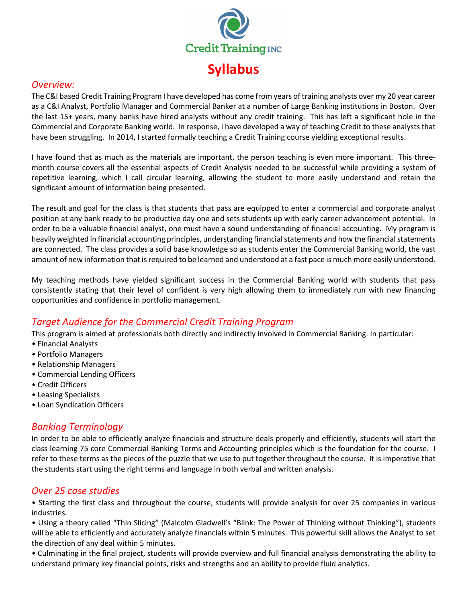

#### *Overview:*

The C&I based Credit Training Program I have developed has come from years of training analysts over my 20 year career as a C&I Analyst, Portfolio Manager and Commercial Banker at a number of Large Banking institutions in Boston. Over the last 15+ years, many banks have hired analysts without any credit training. This has left a significant hole in the Commercial and Corporate Banking world. In response, I have developed a way of teaching Credit to these analysts that have been struggling. In 2014, I started formally teaching a Credit Training course yielding exceptional results.

I have found that as much as the materials are important, the person teaching is even more important. This threemonth course covers all the essential aspects of Credit Analysis needed to be successful while providing a system of repetitive learning, which I call circular learning, allowing the student to more easily understand and retain the significant amount of information being presented.

The result and goal for the class is that students that pass are equipped to enter a commercial and corporate analyst position at any bank ready to be productive day one and sets students up with early career advancement potential. In order to be a valuable financial analyst, one must have a sound understanding of financial accounting. My program is heavily weighted in financial accounting principles, understanding financial statements and how the financial statements are connected. The class provides a solid base knowledge so as students enter the Commercial Banking world, the vast amount of new information that is required to be learned and understood at a fast pace is much more easily understood.

My teaching methods have yielded significant success in the Commercial Banking world with students that pass consistently stating that their level of confident is very high allowing them to immediately run with new financing opportunities and confidence in portfolio management.

# *Target Audience for the Commercial Credit Training Program*

This program is aimed at professionals both directly and indirectly involved in Commercial Banking. In particular:

- Financial Analysts
- Portfolio Managers
- Relationship Managers
- Commercial Lending Officers
- Credit Officers
- Leasing Specialists
- Loan Syndication Officers

## *Banking Terminology*

In order to be able to efficiently analyze financials and structure deals properly and efficiently, students will start the class learning 75 core Commercial Banking Terms and Accounting principles which is the foundation for the course. I refer to these terms as the pieces of the puzzle that we use to put together throughout the course. It is imperative that the students start using the right terms and language in both verbal and written analysis.

#### *Over 25 case studies*

• Starting the first class and throughout the course, students will provide analysis for over 25 companies in various industries.

• Using a theory called "Thin Slicing" (Malcolm Gladwell's "Blink: The Power of Thinking without Thinking"), students will be able to efficiently and accurately analyze financials within 5 minutes. This powerful skill allows the Analyst to set the direction of any deal within 5 minutes.

• Culminating in the final project, students will provide overview and full financial analysis demonstrating the ability to understand primary key financial points, risks and strengths and an ability to provide fluid analytics.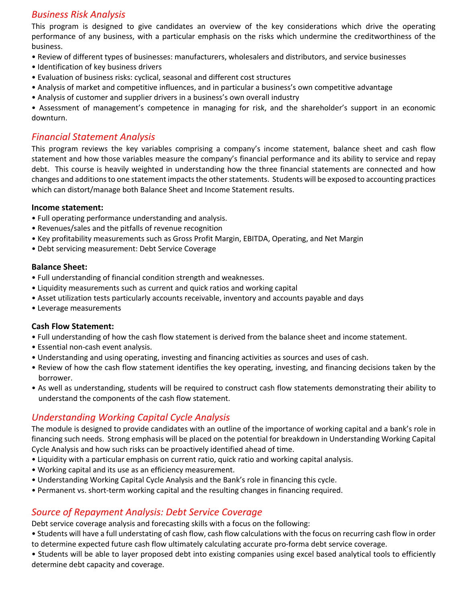## *Business Risk Analysis*

This program is designed to give candidates an overview of the key considerations which drive the operating performance of any business, with a particular emphasis on the risks which undermine the creditworthiness of the business.

- Review of different types of businesses: manufacturers, wholesalers and distributors, and service businesses
- Identification of key business drivers
- Evaluation of business risks: cyclical, seasonal and different cost structures
- Analysis of market and competitive influences, and in particular a business's own competitive advantage
- Analysis of customer and supplier drivers in a business's own overall industry

• Assessment of management's competence in managing for risk, and the shareholder's support in an economic downturn.

#### *Financial Statement Analysis*

This program reviews the key variables comprising a company's income statement, balance sheet and cash flow statement and how those variables measure the company's financial performance and its ability to service and repay debt. This course is heavily weighted in understanding how the three financial statements are connected and how changes and additions to one statement impacts the other statements. Students will be exposed to accounting practices which can distort/manage both Balance Sheet and Income Statement results.

#### **Income statement:**

- Full operating performance understanding and analysis.
- Revenues/sales and the pitfalls of revenue recognition
- Key profitability measurements such as Gross Profit Margin, EBITDA, Operating, and Net Margin
- Debt servicing measurement: Debt Service Coverage

#### **Balance Sheet:**

- Full understanding of financial condition strength and weaknesses.
- Liquidity measurements such as current and quick ratios and working capital
- Asset utilization tests particularly accounts receivable, inventory and accounts payable and days
- Leverage measurements

#### **Cash Flow Statement:**

- Full understanding of how the cash flow statement is derived from the balance sheet and income statement.
- Essential non-cash event analysis.
- Understanding and using operating, investing and financing activities as sources and uses of cash.
- Review of how the cash flow statement identifies the key operating, investing, and financing decisions taken by the borrower.
- As well as understanding, students will be required to construct cash flow statements demonstrating their ability to understand the components of the cash flow statement.

# *Understanding Working Capital Cycle Analysis*

The module is designed to provide candidates with an outline of the importance of working capital and a bank's role in financing such needs. Strong emphasis will be placed on the potential for breakdown in Understanding Working Capital Cycle Analysis and how such risks can be proactively identified ahead of time.

- Liquidity with a particular emphasis on current ratio, quick ratio and working capital analysis.
- Working capital and its use as an efficiency measurement.
- Understanding Working Capital Cycle Analysis and the Bank's role in financing this cycle.
- Permanent vs. short-term working capital and the resulting changes in financing required.

## *Source of Repayment Analysis: Debt Service Coverage*

Debt service coverage analysis and forecasting skills with a focus on the following:

• Students will have a full understating of cash flow, cash flow calculations with the focus on recurring cash flow in order to determine expected future cash flow ultimately calculating accurate pro-forma debt service coverage.

• Students will be able to layer proposed debt into existing companies using excel based analytical tools to efficiently determine debt capacity and coverage.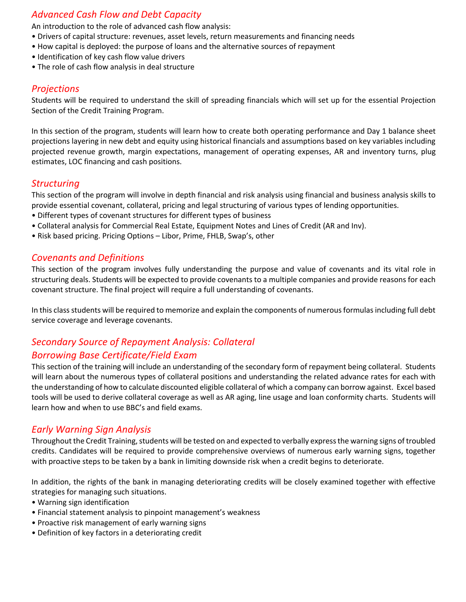# *Advanced Cash Flow and Debt Capacity*

An introduction to the role of advanced cash flow analysis:

- Drivers of capital structure: revenues, asset levels, return measurements and financing needs
- How capital is deployed: the purpose of loans and the alternative sources of repayment
- Identification of key cash flow value drivers
- The role of cash flow analysis in deal structure

## *Projections*

Students will be required to understand the skill of spreading financials which will set up for the essential Projection Section of the Credit Training Program.

In this section of the program, students will learn how to create both operating performance and Day 1 balance sheet projections layering in new debt and equity using historical financials and assumptions based on key variables including projected revenue growth, margin expectations, management of operating expenses, AR and inventory turns, plug estimates, LOC financing and cash positions.

# *Structuring*

This section of the program will involve in depth financial and risk analysis using financial and business analysis skills to provide essential covenant, collateral, pricing and legal structuring of various types of lending opportunities.

- Different types of covenant structures for different types of business
- Collateral analysis for Commercial Real Estate, Equipment Notes and Lines of Credit (AR and Inv).
- Risk based pricing. Pricing Options Libor, Prime, FHLB, Swap's, other

## *Covenants and Definitions*

This section of the program involves fully understanding the purpose and value of covenants and its vital role in structuring deals. Students will be expected to provide covenants to a multiple companies and provide reasons for each covenant structure. The final project will require a full understanding of covenants.

In this class students will be required to memorize and explain the components of numerous formulas including full debt service coverage and leverage covenants.

# *Secondary Source of Repayment Analysis: Collateral*

## *Borrowing Base Certificate/Field Exam*

This section of the training will include an understanding of the secondary form of repayment being collateral. Students will learn about the numerous types of collateral positions and understanding the related advance rates for each with the understanding of how to calculate discounted eligible collateral of which a company can borrow against. Excel based tools will be used to derive collateral coverage as well as AR aging, line usage and loan conformity charts. Students will learn how and when to use BBC's and field exams.

## *Early Warning Sign Analysis*

Throughout the Credit Training, students will be tested on and expected to verbally express the warning signs of troubled credits. Candidates will be required to provide comprehensive overviews of numerous early warning signs, together with proactive steps to be taken by a bank in limiting downside risk when a credit begins to deteriorate.

In addition, the rights of the bank in managing deteriorating credits will be closely examined together with effective strategies for managing such situations.

- Warning sign identification
- Financial statement analysis to pinpoint management's weakness
- Proactive risk management of early warning signs
- Definition of key factors in a deteriorating credit